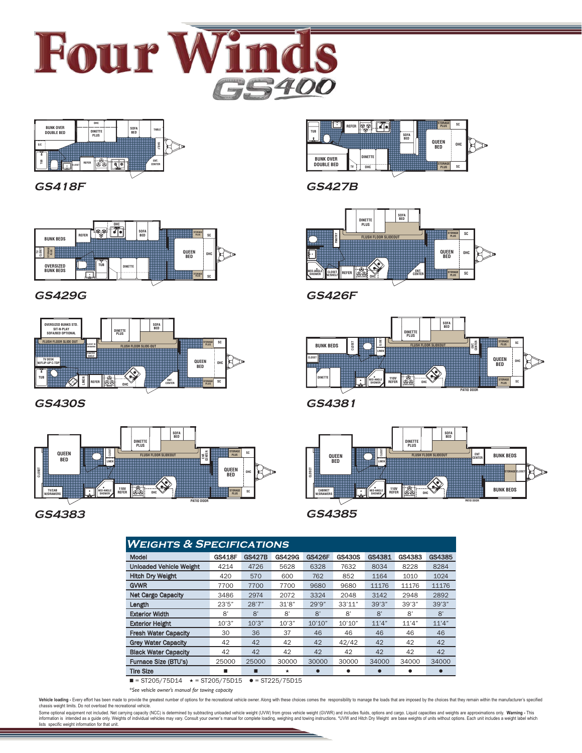



**GS418F**



**GS429G**



**GS430S**



# **GS4383 GS4385**

| <u>WEIGHTS &amp; SPECIFICATIONS</u> |               |               |               |               |               |           |        |        |
|-------------------------------------|---------------|---------------|---------------|---------------|---------------|-----------|--------|--------|
| Model                               | <b>GS418F</b> | <b>GS427B</b> | <b>GS429G</b> | <b>GS426F</b> | <b>GS430S</b> | GS4381    | GS4383 | GS4385 |
| <b>Unloaded Vehicle Weight</b>      | 4214          | 4726          | 5628          | 6328          | 7632          | 8034      | 8228   | 8284   |
| <b>Hitch Dry Weight</b>             | 420           | 570           | 600           | 762           | 852           | 1164      | 1010   | 1024   |
| <b>GVWR</b>                         | 7700          | 7700          | 7700          | 9680          | 9680          | 11176     | 11176  | 11176  |
| <b>Net Cargo Capacity</b>           | 3486          | 2974          | 2072          | 3324          | 2048          | 3142      | 2948   | 2892   |
| Length                              | 23'5''        | 28'7"         | 31'8"         | 29'9"         | 33'11"        | 39'3''    | 39'3'' | 39'3'' |
| <b>Exterior Width</b>               | 8'            | 8'            | 8'            | 8'            | 8'            | 8'        | 8'     | 8'     |
| <b>Exterior Height</b>              | 10'3''        | 10'3''        | 10'3''        | 10'10''       | 10'10"        | 11'4"     | 11'4"  | 11'4"  |
| <b>Fresh Water Capacity</b>         | 30            | 36            | 37            | 46            | 46            | 46        | 46     | 46     |
| <b>Grey Water Capacity</b>          | 42            | 42            | 42            | 42            | 42/42         | 42        | 42     | 42     |
| <b>Black Water Capacity</b>         | 42            | 42            | 42            | 42            | 42            | 42        | 42     | 42     |
| Furnace Size (BTU's)                | 25000         | 25000         | 30000         | 30000         | 30000         | 34000     | 34000  | 34000  |
| <b>Tire Size</b>                    | ▬             | ■             | $\star$       |               | ٠             | $\bullet$ |        |        |
| CTOOF/TEDAP<br>$\sim$               |               |               |               |               |               |           |        |        |

 $\blacksquare$  = ST205/75D14  $\star$  = ST205/75D15  $\bullet$  = ST225/75D15

*\*See vehicle owner's manual for towing capacity*

Vehicle loading - Every effort has been made to provide the gratest number of options for the recreational vehicle owner. Along with these choices comes the responsibility to manage the loads that are imposed by the choice

Some optional equipment not included. Net carrying capacity (NCC) is determined by subtracting unloaded vehicle weight (UVW) from gross vehicle weight (GVWR) and includes fluids, options and cargo. Liquid capacities and we



**GS427B**



**GS426F**



**GS4381**